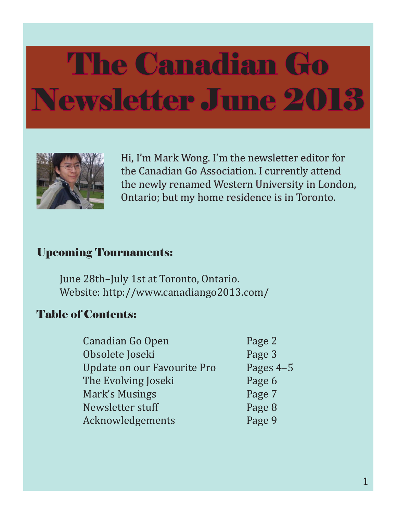

Hi, I'm Mark Wong. I'm the newsletter editor for the Canadian Go Association. I currently attend the newly renamed Western University in London, Ontario; but my home residence is in Toronto.

#### Upcoming Tournaments:

 June 28th–July 1st at Toronto, Ontario. Website: http://www.canadiango2013.com/

#### Table of Contents:

| Canadian Go Open            | Page 2    |
|-----------------------------|-----------|
| Obsolete Joseki             | Page 3    |
| Update on our Favourite Pro | Pages 4-5 |
| The Evolving Joseki         | Page 6    |
| Mark's Musings              | Page 7    |
| Newsletter stuff            | Page 8    |
| Acknowledgements            | Page 9    |
|                             |           |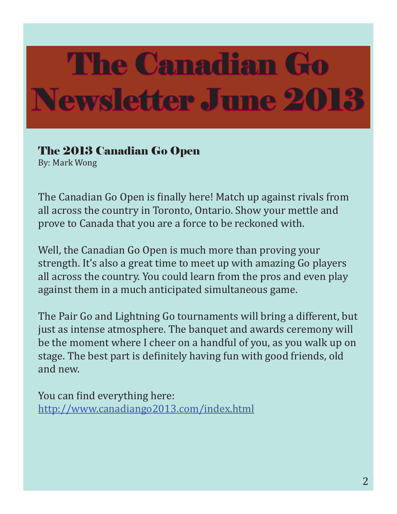#### The 2013 Canadian Go Open

By: Mark Wong

The Canadian Go Open is finally here! Match up against rivals from all across the country in Toronto, Ontario. Show your mettle and prove to Canada that you are a force to be reckoned with.

Well, the Canadian Go Open is much more than proving your strength. It's also a great time to meet up with amazing Go players all across the country. You could learn from the pros and even play against them in a much anticipated simultaneous game.

The Pair Go and Lightning Go tournaments will bring a different, but just as intense atmosphere. The banquet and awards ceremony will be the moment where I cheer on a handful of you, as you walk up on stage. The best part is definitely having fun with good friends, old and new.

You can find everything here: http://www.canadiango2013.com/index.html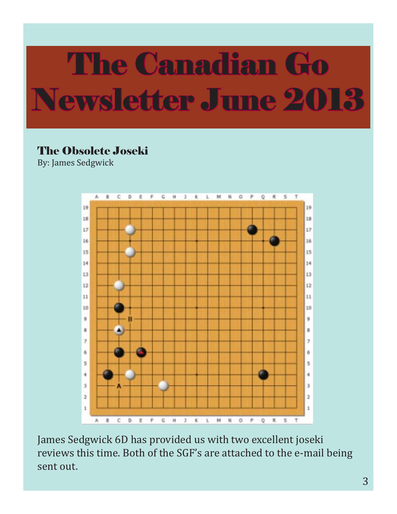#### The Obsolete Joseki

By: James Sedgwick



James Sedgwick 6D has provided us with two excellent joseki reviews this time. Both of the SGF's are attached to the e-mail being sent out.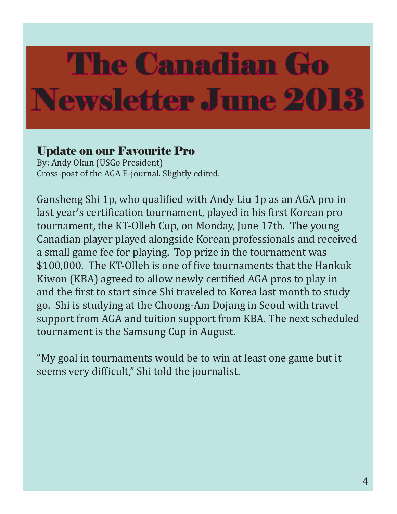#### Update on our Favourite Pro

By: Andy Okun (USGo President) Cross-post of the AGA E-journal. Slightly edited.

Gansheng Shi 1p, who qualified with Andy Liu 1p as an AGA pro in last year's certification tournament, played in his first Korean pro tournament, the KT-Olleh Cup, on Monday, June 17th. The young Canadian player played alongside Korean professionals and received a small game fee for playing. Top prize in the tournament was \$100,000. The KT-Olleh is one of five tournaments that the Hankuk Kiwon (KBA) agreed to allow newly certified AGA pros to play in and the first to start since Shi traveled to Korea last month to study go. Shi is studying at the Choong-Am Dojang in Seoul with travel support from AGA and tuition support from KBA. The next scheduled tournament is the Samsung Cup in August.

"My goal in tournaments would be to win at least one game but it seems very difficult," Shi told the journalist.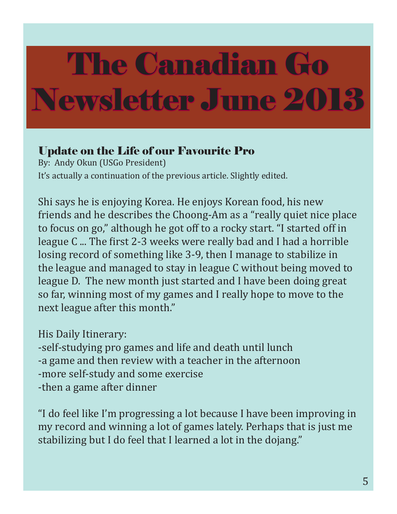#### Update on the Life of our Favourite Pro

By: Andy Okun (USGo President) It's actually a continuation of the previous article. Slightly edited.

Shi says he is enjoying Korea. He enjoys Korean food, his new friends and he describes the Choong-Am as a "really quiet nice place to focus on go," although he got off to a rocky start. "I started off in league C ... The first 2-3 weeks were really bad and I had a horrible losing record of something like 3-9, then I manage to stabilize in the league and managed to stay in league C without being moved to league D. The new month just started and I have been doing great so far, winning most of my games and I really hope to move to the next league after this month."

His Daily Itinerary:

-self-studying pro games and life and death until lunch -a game and then review with a teacher in the afternoon -more self-study and some exercise -then a game after dinner

"I do feel like I'm progressing a lot because I have been improving in my record and winning a lot of games lately. Perhaps that is just me stabilizing but I do feel that I learned a lot in the dojang."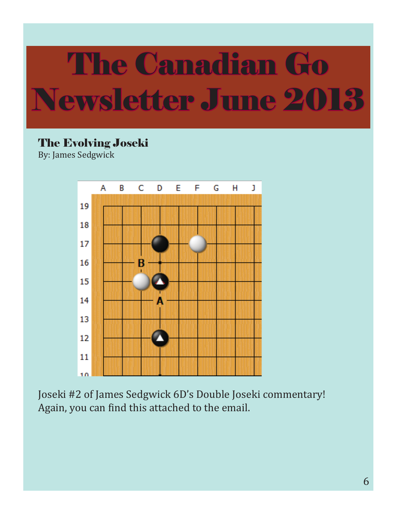#### The Evolving Joseki

By: James Sedgwick



Joseki #2 of James Sedgwick 6D's Double Joseki commentary! Again, you can find this attached to the email.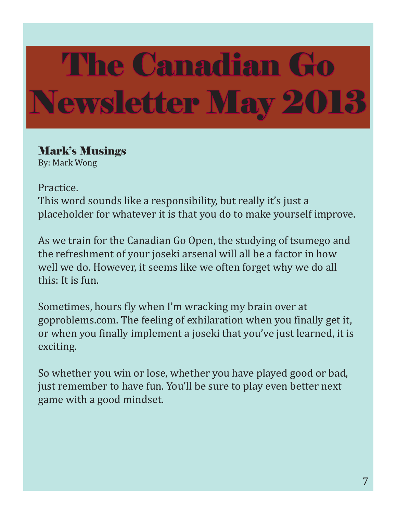## The Canadian Go Newsletter May 2013

#### Mark's Musings

By: Mark Wong

Practice.

This word sounds like a responsibility, but really it's just a placeholder for whatever it is that you do to make yourself improve.

As we train for the Canadian Go Open, the studying of tsumego and the refreshment of your joseki arsenal will all be a factor in how well we do. However, it seems like we often forget why we do all this: It is fun.

Sometimes, hours fly when I'm wracking my brain over at goproblems.com. The feeling of exhilaration when you finally get it, or when you finally implement a joseki that you've just learned, it is exciting.

So whether you win or lose, whether you have played good or bad, just remember to have fun. You'll be sure to play even better next game with a good mindset.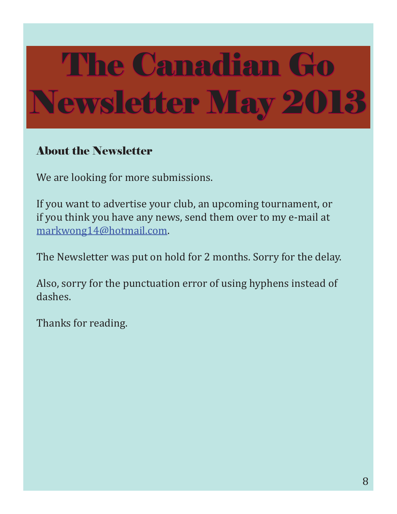# The Canadian Go Newsletter May 2013

#### About the Newsletter

We are looking for more submissions.

If you want to advertise your club, an upcoming tournament, or if you think you have any news, send them over to my e-mail at markwong14@hotmail.com.

The Newsletter was put on hold for 2 months. Sorry for the delay.

Also, sorry for the punctuation error of using hyphens instead of dashes.

Thanks for reading.